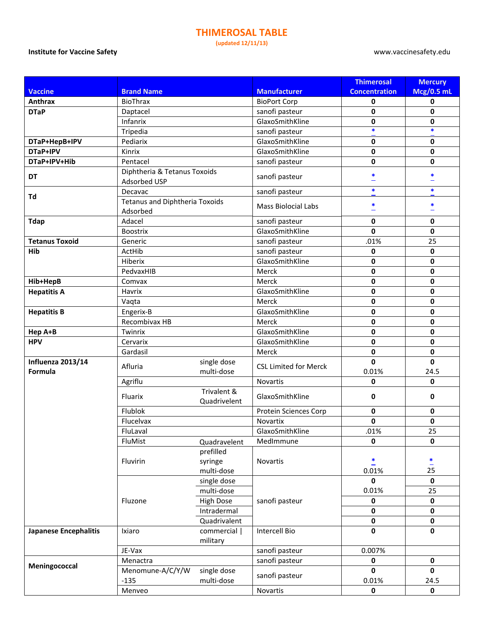## **THIMEROSAL TABLE**

**(updated 12/11/13)**

## **Institute for Vaccine Safety** www.vaccinesafety.edu

|                                     |                                                   |                             |                              | <b>Thimerosal</b>     | <b>Mercury</b>       |
|-------------------------------------|---------------------------------------------------|-----------------------------|------------------------------|-----------------------|----------------------|
| <b>Vaccine</b>                      | <b>Brand Name</b>                                 |                             | <b>Manufacturer</b>          | <b>Concentration</b>  | <b>Mcg/0.5 mL</b>    |
| Anthrax                             | <b>BioThrax</b>                                   |                             | <b>BioPort Corp</b>          | 0                     | 0                    |
| <b>DTaP</b>                         | Daptacel                                          |                             | sanofi pasteur               | 0                     | 0                    |
|                                     | Infanrix                                          |                             | GlaxoSmithKline              | 0                     | $\mathbf 0$          |
|                                     | Tripedia                                          |                             | sanofi pasteur               | $\ast$                | $\ast$               |
| DTaP+HepB+IPV                       | Pediarix                                          |                             | GlaxoSmithKline              | 0                     | $\mathbf 0$          |
| DTaP+IPV                            | Kinrix                                            |                             | GlaxoSmithKline              | 0                     | 0                    |
| DTaP+IPV+Hib                        | Pentacel                                          |                             | sanofi pasteur               | 0                     | $\mathbf 0$          |
|                                     | Diphtheria & Tetanus Toxoids                      |                             |                              |                       |                      |
| DT                                  | Adsorbed USP                                      |                             | sanofi pasteur               | *                     | *                    |
| Td                                  | Decavac                                           |                             | sanofi pasteur               | $\ast$                | *                    |
|                                     | <b>Tetanus and Diphtheria Toxoids</b><br>Adsorbed |                             | <b>Mass Biolocial Labs</b>   | $\ast$                | *                    |
| <b>Tdap</b>                         | Adacel                                            |                             | sanofi pasteur               | 0                     | $\mathbf 0$          |
|                                     | <b>Boostrix</b>                                   |                             | GlaxoSmithKline              | 0                     | $\mathbf 0$          |
| <b>Tetanus Toxoid</b>               | Generic                                           |                             | sanofi pasteur               | .01%                  | 25                   |
| Hib                                 | ActHib                                            |                             | sanofi pasteur               | 0                     | 0                    |
|                                     | Hiberix                                           |                             | GlaxoSmithKline              | 0                     | $\mathbf 0$          |
|                                     | PedvaxHIB                                         |                             | Merck                        | 0                     | $\mathbf 0$          |
| Hib+HepB                            | Comvax                                            |                             | Merck                        | 0                     | 0                    |
| <b>Hepatitis A</b>                  | Havrix                                            |                             | GlaxoSmithKline              | 0                     | $\mathbf 0$          |
|                                     | Vaqta                                             |                             | Merck                        | 0                     | $\mathbf 0$          |
| <b>Hepatitis B</b>                  | Engerix-B                                         |                             | GlaxoSmithKline              | 0                     | $\mathbf 0$          |
|                                     | Recombivax HB                                     |                             | Merck                        | 0                     | $\mathbf 0$          |
| Hep A+B                             | Twinrix                                           |                             | GlaxoSmithKline              | 0                     | $\mathbf 0$          |
| <b>HPV</b>                          | Cervarix                                          |                             | GlaxoSmithKline              | 0                     | $\mathbf 0$          |
|                                     | Gardasil                                          |                             | Merck                        | 0                     | $\mathbf 0$          |
| <b>Influenza 2013/14</b><br>Formula | Afluria                                           | single dose<br>multi-dose   | <b>CSL Limited for Merck</b> | $\mathbf{0}$<br>0.01% | $\mathbf{0}$<br>24.5 |
|                                     | Agriflu                                           |                             | Novartis                     | 0                     | $\mathbf{0}$         |
|                                     | Fluarix                                           | Trivalent &<br>Quadrivelent | GlaxoSmithKline              | 0                     | 0                    |
|                                     | Flublok                                           |                             | <b>Protein Sciences Corp</b> | 0                     | $\mathbf 0$          |
|                                     | Flucelvax                                         |                             | Novartix                     | 0                     | $\mathbf 0$          |
|                                     | FluLaval                                          |                             | GlaxoSmithKline              | .01%                  | 25                   |
|                                     | FluMist                                           | Quadravelent                | MedImmune                    | 0                     | $\mathbf{0}$         |
|                                     |                                                   | prefilled                   |                              |                       |                      |
|                                     | Fluvirin                                          | syringe                     | Novartis                     | $\ddot{ }$            |                      |
|                                     |                                                   | multi-dose                  |                              | 0.01%                 | $rac{1}{25}$         |
|                                     |                                                   | single dose                 |                              | 0                     | $\mathbf 0$          |
|                                     | Fluzone                                           | multi-dose                  | sanofi pasteur               | 0.01%                 | 25                   |
|                                     |                                                   | <b>High Dose</b>            |                              | 0                     | $\pmb{0}$            |
|                                     |                                                   | Intradermal                 |                              | 0                     | $\pmb{0}$            |
|                                     |                                                   | Quadrivalent                |                              | 0                     | $\pmb{0}$            |
| <b>Japanese Encephalitis</b>        | Ixiaro                                            | commercial                  | Intercell Bio                | 0                     | $\mathbf 0$          |
|                                     |                                                   | military                    |                              |                       |                      |
|                                     | JE-Vax                                            |                             | sanofi pasteur               | 0.007%                |                      |
| Meningococcal                       | Menactra                                          |                             | sanofi pasteur               | 0                     | $\mathbf 0$          |
|                                     | Menomune-A/C/Y/W                                  | single dose                 |                              | $\mathbf{0}$          | $\mathbf{0}$         |
|                                     | $-135$                                            | multi-dose                  | sanofi pasteur               | 0.01%                 | 24.5                 |
|                                     | Menveo                                            |                             | Novartis                     | 0                     | 0                    |